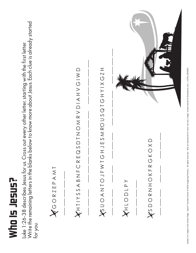

Write the remaining letters in the blanks below to know more about Jesus. Each clue is already started Write the remaining letters in the blanks below to know more about Jesus. Each clue is already started<br>for you. Luke 1:26-38 describes Jesus for us. Cross out every other letter, starting with the first letter. Luke 1:26-38 describes Jesus for us. Cross out every other letter, starting with the first letter.



 $\overline{\phantom{a}}$ 

K H T I Y S S A B N F C R E Q S D T N O M R V D I A H V G I W D  $\bigtimes H$ TIYSSABNECREQSDIQUEZE<br/>SASASTIND \_\_\_ \_\_\_ \_\_\_ \_\_\_ \_\_\_ \_\_\_ \_\_\_ \_\_\_ \_\_\_ \_\_\_ \_\_\_ \_\_\_ \_\_\_ \_\_\_ \_\_\_ \_\_\_

J S U O A N T O J F W T G H J E S M RO U S Q T G H Y I X G Z H INDXIXIOIOSDOVXSUTIDIXITOIZKODXX